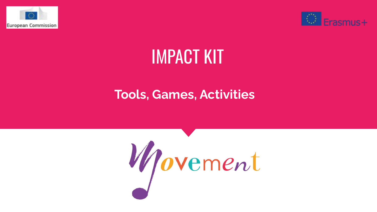



## IMPACT KIT

## **Tools, Games, Activities**

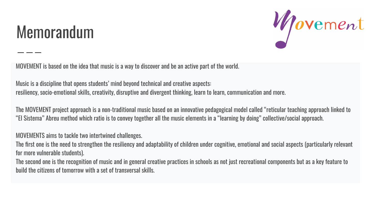## Memorandum



MOVEMENT is based on the idea that music is a way to discover and be an active part of the world.

Music is a discipline that opens students' mind beyond technical and creative aspects: resiliency, socio-emotional skills, creativity, disruptive and divergent thinking, learn to learn, communication and more.

The MOVEMENT project approach is a non-traditional music based on an innovative pedagogical model called "reticular teaching approach linked to "El Sistema" Abreu method which ratio is to convey together all the music elements in a "learning by doing" collective/social approach.

MOVEMENTS aims to tackle two intertwined challenges.

The first one is the need to strengthen the resiliency and adaptability of children under cognitive, emotional and social aspects (particularly relevant for more vulnerable students).

The second one is the recognition of music and in general creative practices in schools as not just recreational components but as a key feature to build the citizens of tomorrow with a set of transversal skills.